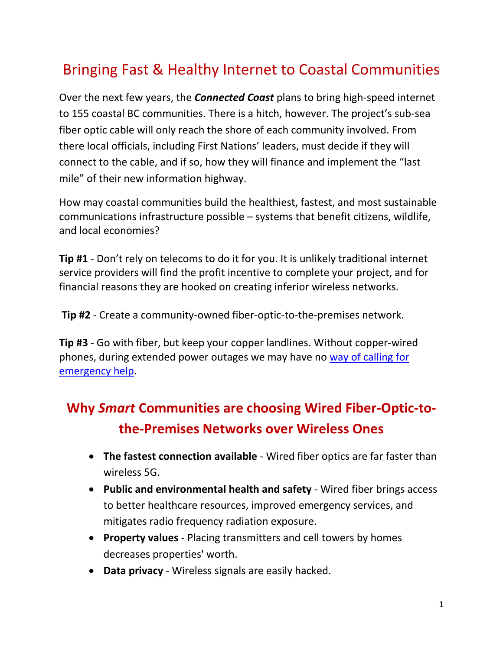# Bringing Fast & Healthy Internet to Coastal Communities

Over the next few years, the *Connected Coast* plans to bring high-speed internet to 155 coastal BC communities. There is a hitch, however. The project's sub-sea fiber optic cable will only reach the shore of each community involved. From there local officials, including First Nations' leaders, must decide if they will connect to the cable, and if so, how they will finance and implement the "last mile" of their new information highway.

How may coastal communities build the healthiest, fastest, and most sustainable communications infrastructure possible – systems that benefit citizens, wildlife, and local economies?

**Tip #1** - Don't rely on telecoms to do it for you. It is unlikely traditional internet service providers will find the profit incentive to complete your project, and for financial reasons they are hooked on creating inferior wireless networks.

**Tip #2** - Create a community-owned fiber-optic-to-the-premises network.

**Tip #3** - Go with fiber, but keep your copper landlines. Without copper-wired phones, during extended power outages we may have no [way of calling for](https://www.consumerreports.org/cro/2012/01/surprise-your-high-tech-home-phone-system-could-go-dead-in-an-emergency/index.htm)  [emergency help.](https://www.consumerreports.org/cro/2012/01/surprise-your-high-tech-home-phone-system-could-go-dead-in-an-emergency/index.htm)

## **Why** *Smart* **Communities are choosing Wired Fiber-Optic-tothe-Premises Networks over Wireless Ones**

- **The fastest connection available**  Wired fiber optics are far faster than wireless 5G.
- **Public and environmental health and safety** Wired fiber brings access to better healthcare resources, improved emergency services, and mitigates radio frequency radiation exposure.
- **Property values**  Placing transmitters and cell towers by homes decreases properties' worth.
- **Data privacy**  Wireless signals are easily hacked.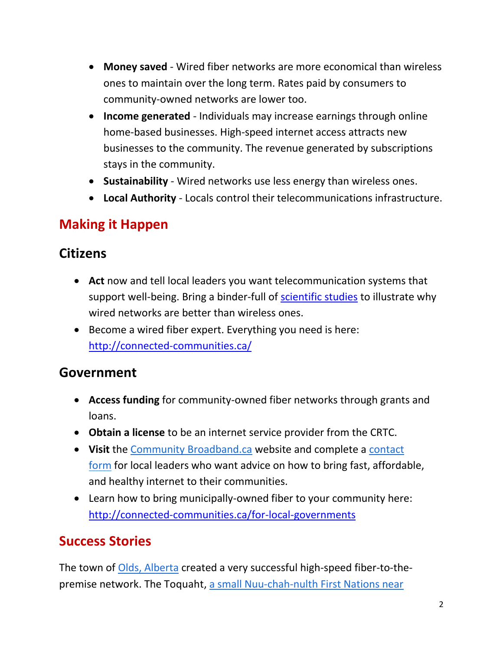- **Money saved** Wired fiber networks are more economical than wireless ones to maintain over the long term. Rates paid by consumers to community-owned networks are lower too.
- **Income generated** Individuals may increase earnings through online home-based businesses. High-speed internet access attracts new businesses to the community. The revenue generated by subscriptions stays in the community.
- **Sustainability** Wired networks use less energy than wireless ones.
- **Local Authority** Locals control their telecommunications infrastructure.

### **Making it Happen**

#### **Citizens**

- **Act** now and tell local leaders you want telecommunication systems that support well-being. Bring a binder-full of [scientific studies](https://www.telecompowergrab.org/science.html) to illustrate why wired networks are better than wireless ones.
- Become a wired fiber expert. Everything you need is here: <http://connected-communities.ca/>

#### **Government**

- **Access funding** for community-owned fiber networks through grants and loans.
- **Obtain a license** to be an internet service provider from the CRTC.
- **Visit** the [Community Broadband.ca](https://community-broadband.ca/) website and complete a [contact](https://docs.google.com/forms/d/1-n1WffsO8383JQDOPITeU4i3ekIY0csk2jsssqUZPr4/viewform?edit_requested=true)  [form](https://docs.google.com/forms/d/1-n1WffsO8383JQDOPITeU4i3ekIY0csk2jsssqUZPr4/viewform?edit_requested=true) for local leaders who want advice on how to bring fast, affordable, and healthy internet to their communities.
- Learn how to bring municipally-owned fiber to your community here: <http://connected-communities.ca/for-local-governments>

## **Success Stories**

The town of [Olds, Alberta](https://community-broadband.ca/olds) created a very successful high-speed fiber-to-thepremise network. The Toquaht, a small Nuu-chah-nulth First Nations near